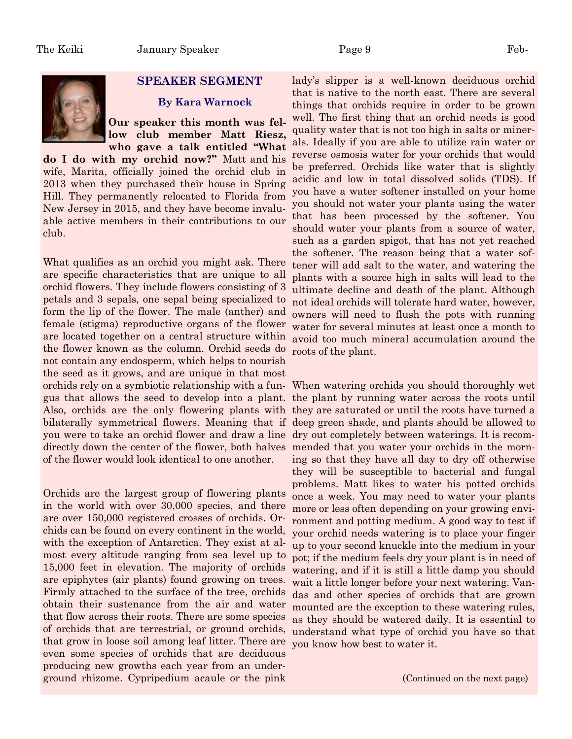## **SPEAKER SEGMENT**

## **By Kara Warnock**

**Our speaker this month was fellow club member Matt Riesz, who gave a talk entitled "What** 

**do I do with my orchid now?"** Matt and his wife, Marita, officially joined the orchid club in 2013 when they purchased their house in Spring Hill. They permanently relocated to Florida from New Jersey in 2015, and they have become invaluable active members in their contributions to our club.

What qualifies as an orchid you might ask. There are specific characteristics that are unique to all orchid flowers. They include flowers consisting of 3 petals and 3 sepals, one sepal being specialized to form the lip of the flower. The male (anther) and female (stigma) reproductive organs of the flower are located together on a central structure within the flower known as the column. Orchid seeds do not contain any endosperm, which helps to nourish the seed as it grows, and are unique in that most you were to take an orchid flower and draw a line dry out completely between waterings. It is recomdirectly down the center of the flower, both halves mended that you water your orchids in the mornof the flower would look identical to one another.

Orchids are the largest group of flowering plants in the world with over 30,000 species, and there are over 150,000 registered crosses of orchids. Orchids can be found on every continent in the world, with the exception of Antarctica. They exist at almost every altitude ranging from sea level up to 15,000 feet in elevation. The majority of orchids are epiphytes (air plants) found growing on trees. Firmly attached to the surface of the tree, orchids obtain their sustenance from the air and water that flow across their roots. There are some species of orchids that are terrestrial, or ground orchids, that grow in loose soil among leaf litter. There are even some species of orchids that are deciduous producing new growths each year from an underground rhizome. Cypripedium acaule or the pink

lady's slipper is a well-known deciduous orchid that is native to the north east. There are several things that orchids require in order to be grown well. The first thing that an orchid needs is good quality water that is not too high in salts or minerals. Ideally if you are able to utilize rain water or reverse osmosis water for your orchids that would be preferred. Orchids like water that is slightly acidic and low in total dissolved solids (TDS). If you have a water softener installed on your home you should not water your plants using the water that has been processed by the softener. You should water your plants from a source of water, such as a garden spigot, that has not yet reached the softener. The reason being that a water softener will add salt to the water, and watering the plants with a source high in salts will lead to the ultimate decline and death of the plant. Although not ideal orchids will tolerate hard water, however, owners will need to flush the pots with running water for several minutes at least once a month to avoid too much mineral accumulation around the roots of the plant.

orchids rely on a symbiotic relationship with a fun-When watering orchids you should thoroughly wet gus that allows the seed to develop into a plant. the plant by running water across the roots until Also, orchids are the only flowering plants with they are saturated or until the roots have turned a bilaterally symmetrical flowers. Meaning that if deep green shade, and plants should be allowed to ing so that they have all day to dry off otherwise they will be susceptible to bacterial and fungal problems. Matt likes to water his potted orchids once a week. You may need to water your plants more or less often depending on your growing environment and potting medium. A good way to test if your orchid needs watering is to place your finger up to your second knuckle into the medium in your pot; if the medium feels dry your plant is in need of watering, and if it is still a little damp you should wait a little longer before your next watering. Vandas and other species of orchids that are grown mounted are the exception to these watering rules, as they should be watered daily. It is essential to understand what type of orchid you have so that you know how best to water it.

(Continued on the next page)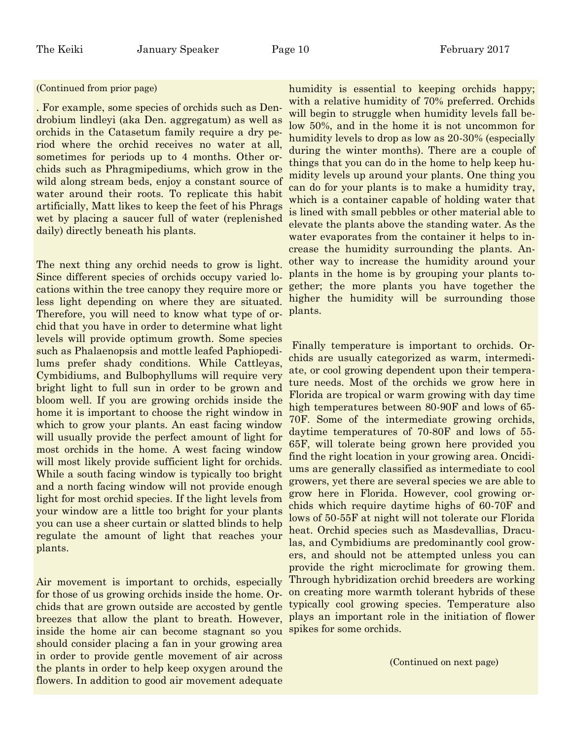## (Continued from prior page)

. For example, some species of orchids such as Dendrobium lindleyi (aka Den. aggregatum) as well as orchids in the Catasetum family require a dry period where the orchid receives no water at all, sometimes for periods up to 4 months. Other orchids such as Phragmipediums, which grow in the wild along stream beds, enjoy a constant source of water around their roots. To replicate this habit artificially, Matt likes to keep the feet of his Phrags wet by placing a saucer full of water (replenished daily) directly beneath his plants.

The next thing any orchid needs to grow is light. Since different species of orchids occupy varied locations within the tree canopy they require more or less light depending on where they are situated. Therefore, you will need to know what type of orchid that you have in order to determine what light levels will provide optimum growth. Some species such as Phalaenopsis and mottle leafed Paphiopedilums prefer shady conditions. While Cattleyas, Cymbidiums, and Bulbophyllums will require very bright light to full sun in order to be grown and bloom well. If you are growing orchids inside the home it is important to choose the right window in which to grow your plants. An east facing window will usually provide the perfect amount of light for most orchids in the home. A west facing window will most likely provide sufficient light for orchids. While a south facing window is typically too bright and a north facing window will not provide enough light for most orchid species. If the light levels from your window are a little too bright for your plants you can use a sheer curtain or slatted blinds to help regulate the amount of light that reaches your plants.

Air movement is important to orchids, especially for those of us growing orchids inside the home. Orchids that are grown outside are accosted by gentle breezes that allow the plant to breath. However, inside the home air can become stagnant so you should consider placing a fan in your growing area in order to provide gentle movement of air across the plants in order to help keep oxygen around the flowers. In addition to good air movement adequate

humidity is essential to keeping orchids happy; with a relative humidity of 70% preferred. Orchids will begin to struggle when humidity levels fall below 50%, and in the home it is not uncommon for humidity levels to drop as low as 20-30% (especially during the winter months). There are a couple of things that you can do in the home to help keep humidity levels up around your plants. One thing you can do for your plants is to make a humidity tray, which is a container capable of holding water that is lined with small pebbles or other material able to elevate the plants above the standing water. As the water evaporates from the container it helps to increase the humidity surrounding the plants. Another way to increase the humidity around your plants in the home is by grouping your plants together; the more plants you have together the higher the humidity will be surrounding those plants.

 Finally temperature is important to orchids. Orchids are usually categorized as warm, intermediate, or cool growing dependent upon their temperature needs. Most of the orchids we grow here in Florida are tropical or warm growing with day time high temperatures between 80-90F and lows of 65- 70F. Some of the intermediate growing orchids, daytime temperatures of 70-80F and lows of 55- 65F, will tolerate being grown here provided you find the right location in your growing area. Oncidiums are generally classified as intermediate to cool growers, yet there are several species we are able to grow here in Florida. However, cool growing orchids which require daytime highs of 60-70F and lows of 50-55F at night will not tolerate our Florida heat. Orchid species such as Masdevallias, Draculas, and Cymbidiums are predominantly cool growers, and should not be attempted unless you can provide the right microclimate for growing them. Through hybridization orchid breeders are working on creating more warmth tolerant hybrids of these typically cool growing species. Temperature also plays an important role in the initiation of flower spikes for some orchids.

(Continued on next page)